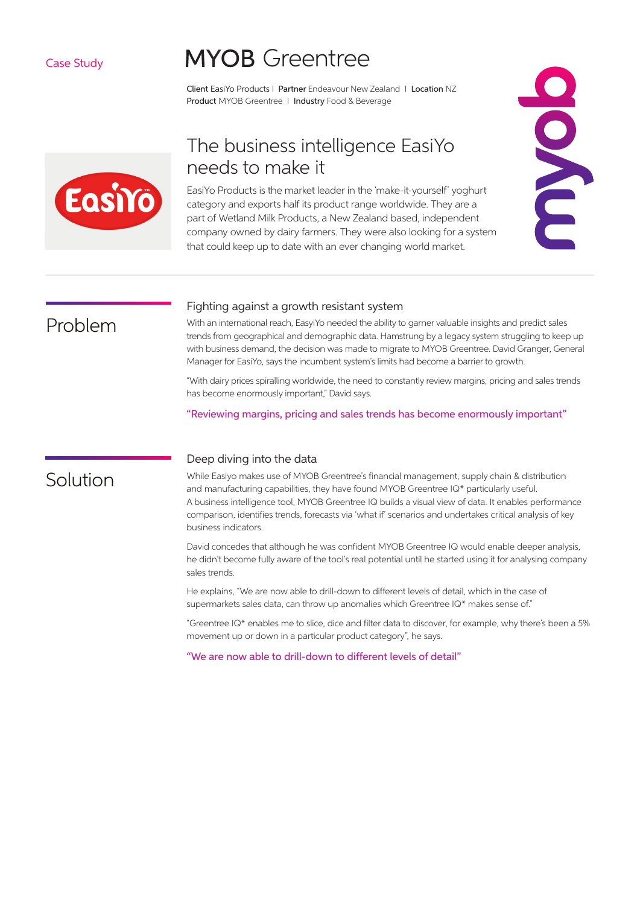#### Case Study

# **MYOB** Greentree

Client EasiYo Products I Partner Endeavour New Zealand I Location NZ Product MYOB Greentree | Industry Food & Beverage



### The business intelligence EasiYo needs to make it

EasiYo Products is the market leader in the 'make-it-yourself' yoghurt category and exports half its product range worldwide. They are a part of Wetland Milk Products, a New Zealand based, independent company owned by dairy farmers. They were also looking for a system that could keep up to date with an ever changing world market.



### Fighting against a growth resistant system

With an international reach, EasyiYo needed the ability to garner valuable insights and predict sales trends from geographical and demographic data. Hamstrung by a legacy system struggling to keep up with business demand, the decision was made to migrate to MYOB Greentree. David Granger, General Manager for EasiYo, says the incumbent system's limits had become a barrier to growth.

"With dairy prices spiralling worldwide, the need to constantly review margins, pricing and sales trends has become enormously important," David says.

"Reviewing margins, pricing and sales trends has become enormously important"

### Solution

Problem

#### Deep diving into the data

While Easiyo makes use of MYOB Greentree's financial management, supply chain & distribution and manufacturing capabilities, they have found MYOB Greentree IQ\* particularly useful. A business intelligence tool, MYOB Greentree IQ builds a visual view of data. It enables performance comparison, identifies trends, forecasts via 'what if' scenarios and undertakes critical analysis of key business indicators.

David concedes that although he was confident MYOB Greentree IQ would enable deeper analysis, he didn't become fully aware of the tool's real potential until he started using it for analysing company sales trends.

He explains, "We are now able to drill-down to different levels of detail, which in the case of supermarkets sales data, can throw up anomalies which Greentree IQ\* makes sense of."

"Greentree IQ\* enables me to slice, dice and filter data to discover, for example, why there's been a 5% movement up or down in a particular product category", he says.

"We are now able to drill-down to different levels of detail"